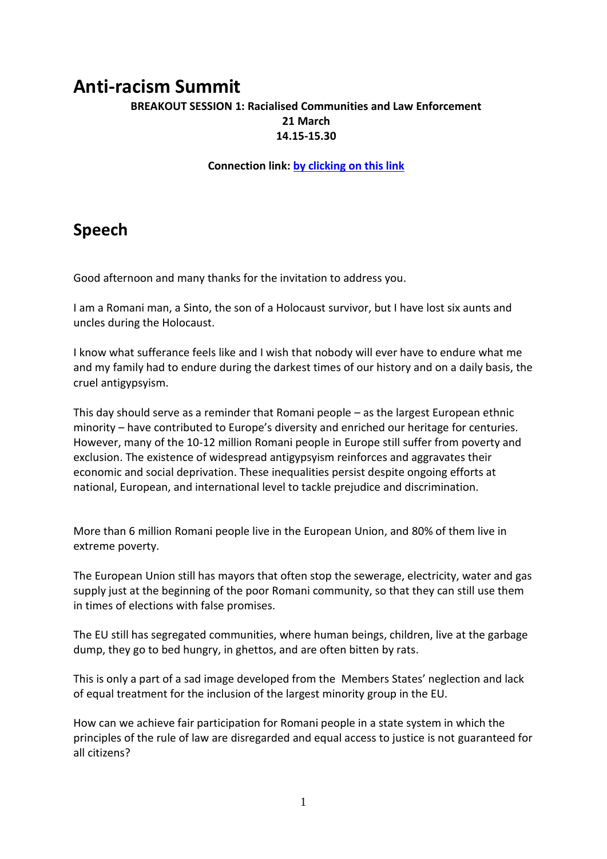# **Anti-racism Summit**

### **BREAKOUT SESSION 1: Racialised Communities and Law Enforcement 21 March 14.15-15.30**

#### **Connection link: [by clicking on this link](https://orangeclignotant.my.webex.com/orangeclignotant.my/j.php?MTID=m551fae857fe4dc4f813a22a438fd9b85)**

# **Speech**

Good afternoon and many thanks for the invitation to address you.

I am a Romani man, a Sinto, the son of a Holocaust survivor, but I have lost six aunts and uncles during the Holocaust.

I know what sufferance feels like and I wish that nobody will ever have to endure what me and my family had to endure during the darkest times of our history and on a daily basis, the cruel antigypsyism.

This day should serve as a reminder that Romani people – as the largest European ethnic minority – have contributed to Europe's diversity and enriched our heritage for centuries. However, many of the 10-12 million Romani people in Europe still suffer from poverty and exclusion. The existence of widespread antigypsyism reinforces and aggravates their economic and social deprivation. These inequalities persist despite ongoing efforts at national, European, and international level to tackle prejudice and discrimination.

More than 6 million Romani people live in the European Union, and 80% of them live in extreme poverty.

The European Union still has mayors that often stop the sewerage, electricity, water and gas supply just at the beginning of the poor Romani community, so that they can still use them in times of elections with false promises.

The EU still has segregated communities, where human beings, children, live at the garbage dump, they go to bed hungry, in ghettos, and are often bitten by rats.

This is only a part of a sad image developed from the Members States' neglection and lack of equal treatment for the inclusion of the largest minority group in the EU.

How can we achieve fair participation for Romani people in a state system in which the principles of the rule of law are disregarded and equal access to justice is not guaranteed for all citizens?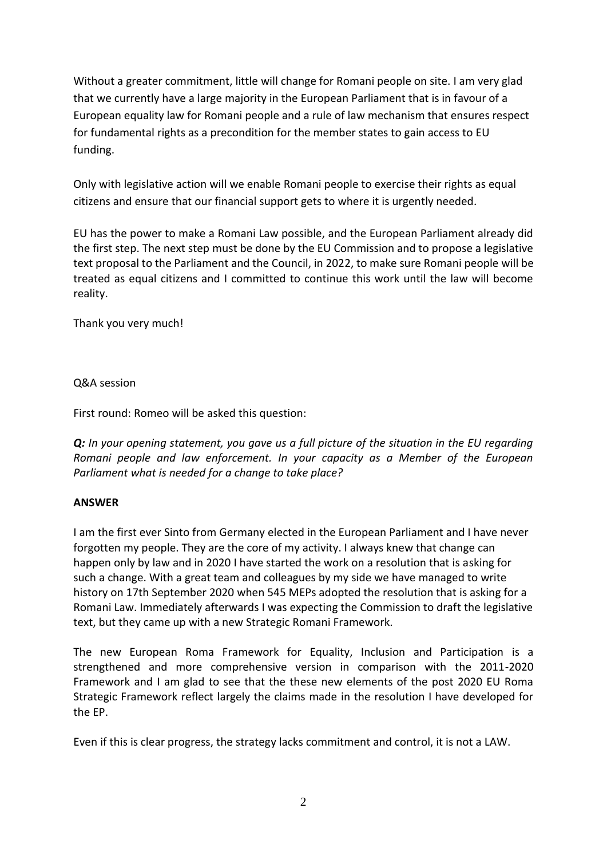Without a greater commitment, little will change for Romani people on site. I am very glad that we currently have a large majority in the European Parliament that is in favour of a European equality law for Romani people and a rule of law mechanism that ensures respect for fundamental rights as a precondition for the member states to gain access to EU funding.

Only with legislative action will we enable Romani people to exercise their rights as equal citizens and ensure that our financial support gets to where it is urgently needed.

EU has the power to make a Romani Law possible, and the European Parliament already did the first step. The next step must be done by the EU Commission and to propose a legislative text proposal to the Parliament and the Council, in 2022, to make sure Romani people will be treated as equal citizens and I committed to continue this work until the law will become reality.

Thank you very much!

Q&A session

First round: Romeo will be asked this question:

*Q: In your opening statement, you gave us a full picture of the situation in the EU regarding Romani people and law enforcement. In your capacity as a Member of the European Parliament what is needed for a change to take place?* 

## **ANSWER**

I am the first ever Sinto from Germany elected in the European Parliament and I have never forgotten my people. They are the core of my activity. I always knew that change can happen only by law and in 2020 I have started the work on a resolution that is asking for such a change. With a great team and colleagues by my side we have managed to write history on 17th September 2020 when 545 MEPs adopted the resolution that is asking for a Romani Law. Immediately afterwards I was expecting the Commission to draft the legislative text, but they came up with a new Strategic Romani Framework.

[The new European Roma Framework for](https://ec.europa.eu/info/publications/new-eu-roma-strategic-framework-equality-inclusion-and-participation-full-package_en) Equality, Inclusion and Participation is a strengthened and more comprehensive version in comparison with the 2011-2020 Framework and I am glad to see that the these new elements of the post 2020 EU Roma Strategic Framework reflect largely the claims made in the resolution I have developed for the EP.

Even if this is clear progress, the strategy lacks commitment and control, it is not a LAW.